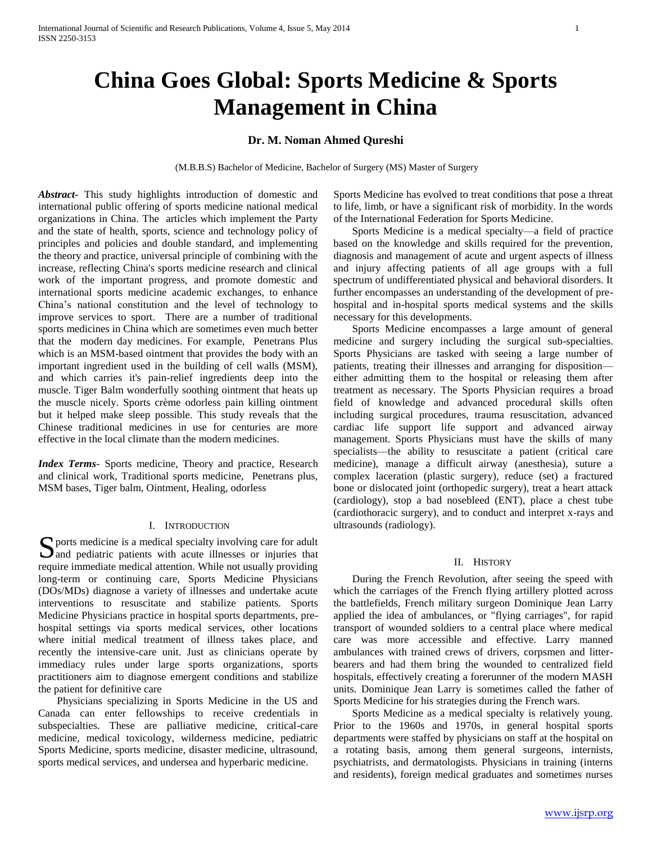# **China Goes Global: Sports Medicine & Sports Management in China**

# **Dr. M. Noman Ahmed Qureshi**

(M.B.B.S) Bachelor of Medicine, Bachelor of Surgery (MS) Master of Surgery

*Abstract***-** This study highlights introduction of domestic and international public offering of sports medicine national medical organizations in China. The articles which implement the Party and the state of health, sports, science and technology policy of principles and policies and double standard, and implementing the theory and practice, universal principle of combining with the increase, reflecting China's sports medicine research and clinical work of the important progress, and promote domestic and international sports medicine academic exchanges, to enhance China's national constitution and the level of technology to improve services to sport. There are a number of traditional sports medicines in China which are sometimes even much better that the modern day medicines. For example, Penetrans Plus which is an MSM-based ointment that provides the body with an important ingredient used in the building of cell walls (MSM), and which carries it's pain-relief ingredients deep into the muscle. Tiger Balm wonderfully soothing ointment that heats up the muscle nicely. Sports crème odorless pain killing ointment but it helped make sleep possible. This study reveals that the Chinese traditional medicines in use for centuries are more effective in the local climate than the modern medicines.

*Index Terms*- Sports medicine, Theory and practice, Research and clinical work, Traditional sports medicine, Penetrans plus, MSM bases, Tiger balm, Ointment, Healing, odorless

## I. INTRODUCTION

 $\Gamma$  ports medicine is a medical specialty involving care for adult S ports medicine is a medical specialty involving care for adult<br>and pediatric patients with acute illnesses or injuries that require immediate medical attention. While not usually providing long-term or continuing care, Sports Medicine Physicians (DOs/MDs) diagnose a variety of illnesses and undertake acute interventions to resuscitate and stabilize patients. Sports Medicine Physicians practice in hospital sports departments, prehospital settings via sports medical services, other locations where initial medical treatment of illness takes place, and recently the intensive-care unit. Just as clinicians operate by immediacy rules under large sports organizations, sports practitioners aim to diagnose emergent conditions and stabilize the patient for definitive care

 Physicians specializing in Sports Medicine in the US and Canada can enter fellowships to receive credentials in subspecialties. These are palliative medicine, critical-care medicine, medical toxicology, wilderness medicine, pediatric Sports Medicine, sports medicine, disaster medicine, ultrasound, sports medical services, and undersea and hyperbaric medicine.

Sports Medicine has evolved to treat conditions that pose a threat to life, limb, or have a significant risk of morbidity. In the words of the International Federation for Sports Medicine.

 Sports Medicine is a medical specialty—a field of practice based on the knowledge and skills required for the prevention, diagnosis and management of acute and urgent aspects of illness and injury affecting patients of all age groups with a full spectrum of undifferentiated physical and behavioral disorders. It further encompasses an understanding of the development of prehospital and in-hospital sports medical systems and the skills necessary for this developments.

 Sports Medicine encompasses a large amount of general medicine and surgery including the surgical sub-specialties. Sports Physicians are tasked with seeing a large number of patients, treating their illnesses and arranging for disposition either admitting them to the hospital or releasing them after treatment as necessary. The Sports Physician requires a broad field of knowledge and advanced procedural skills often including surgical procedures, trauma resuscitation, advanced cardiac life support life support and advanced airway management. Sports Physicians must have the skills of many specialists—the ability to resuscitate a patient (critical care medicine), manage a difficult airway (anesthesia), suture a complex laceration (plastic surgery), reduce (set) a fractured bone or dislocated joint (orthopedic surgery), treat a heart attack (cardiology), stop a bad nosebleed (ENT), place a chest tube (cardiothoracic surgery), and to conduct and interpret x-rays and ultrasounds (radiology).

#### II. HISTORY

 During the French Revolution, after seeing the speed with which the carriages of the French flying artillery plotted across the battlefields, French military surgeon Dominique Jean Larry applied the idea of ambulances, or "flying carriages", for rapid transport of wounded soldiers to a central place where medical care was more accessible and effective. Larry manned ambulances with trained crews of drivers, corpsmen and litterbearers and had them bring the wounded to centralized field hospitals, effectively creating a forerunner of the modern MASH units. Dominique Jean Larry is sometimes called the father of Sports Medicine for his strategies during the French wars.

 Sports Medicine as a medical specialty is relatively young. Prior to the 1960s and 1970s, in general hospital sports departments were staffed by physicians on staff at the hospital on a rotating basis, among them general surgeons, internists, psychiatrists, and dermatologists. Physicians in training (interns and residents), foreign medical graduates and sometimes nurses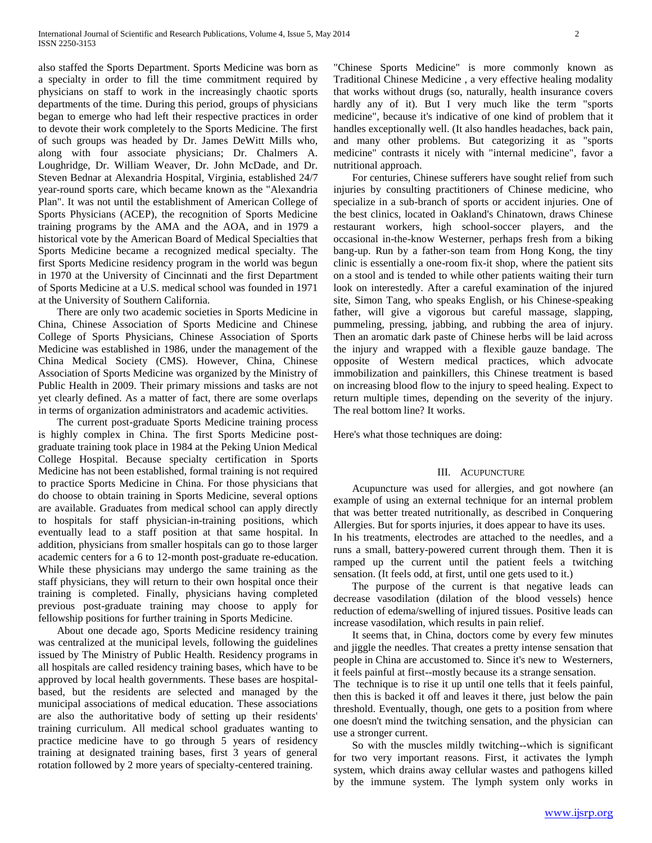also staffed the Sports Department. Sports Medicine was born as a specialty in order to fill the time commitment required by physicians on staff to work in the increasingly chaotic sports departments of the time. During this period, groups of physicians began to emerge who had left their respective practices in order to devote their work completely to the Sports Medicine. The first of such groups was headed by Dr. James DeWitt Mills who, along with four associate physicians; Dr. Chalmers A. Loughridge, Dr. William Weaver, Dr. John McDade, and Dr. Steven Bednar at Alexandria Hospital, Virginia, established 24/7 year-round sports care, which became known as the "Alexandria Plan". It was not until the establishment of American College of Sports Physicians (ACEP), the recognition of Sports Medicine training programs by the AMA and the AOA, and in 1979 a historical vote by the American Board of Medical Specialties that Sports Medicine became a recognized medical specialty. The first Sports Medicine residency program in the world was begun in 1970 at the University of Cincinnati and the first Department of Sports Medicine at a U.S. medical school was founded in 1971 at the University of Southern California.

 There are only two academic societies in Sports Medicine in China, Chinese Association of Sports Medicine and Chinese College of Sports Physicians, Chinese Association of Sports Medicine was established in 1986, under the management of the China Medical Society (CMS). However, China, Chinese Association of Sports Medicine was organized by the Ministry of Public Health in 2009. Their primary missions and tasks are not yet clearly defined. As a matter of fact, there are some overlaps in terms of organization administrators and academic activities.

 The current post-graduate Sports Medicine training process is highly complex in China. The first Sports Medicine postgraduate training took place in 1984 at the Peking Union Medical College Hospital. Because specialty certification in Sports Medicine has not been established, formal training is not required to practice Sports Medicine in China. For those physicians that do choose to obtain training in Sports Medicine, several options are available. Graduates from medical school can apply directly to hospitals for staff physician-in-training positions, which eventually lead to a staff position at that same hospital. In addition, physicians from smaller hospitals can go to those larger academic centers for a 6 to 12-month post-graduate re-education. While these physicians may undergo the same training as the staff physicians, they will return to their own hospital once their training is completed. Finally, physicians having completed previous post-graduate training may choose to apply for fellowship positions for further training in Sports Medicine.

 About one decade ago, Sports Medicine residency training was centralized at the municipal levels, following the guidelines issued by The Ministry of Public Health. Residency programs in all hospitals are called residency training bases, which have to be approved by local health governments. These bases are hospitalbased, but the residents are selected and managed by the municipal associations of medical education. These associations are also the authoritative body of setting up their residents' training curriculum. All medical school graduates wanting to practice medicine have to go through 5 years of residency training at designated training bases, first 3 years of general rotation followed by 2 more years of specialty-centered training.

"Chinese Sports Medicine" is more commonly known as Traditional Chinese Medicine , a very effective healing modality that works without drugs (so, naturally, health insurance covers hardly any of it). But I very much like the term "sports medicine", because it's indicative of one kind of problem that it handles exceptionally well. (It also handles headaches, back pain, and many other problems. But categorizing it as "sports medicine" contrasts it nicely with "internal medicine", favor a nutritional approach.

 For centuries, Chinese sufferers have sought relief from such injuries by consulting practitioners of Chinese medicine, who specialize in a sub-branch of sports or accident injuries. One of the best clinics, located in Oakland's Chinatown, draws Chinese restaurant workers, high school-soccer players, and the occasional in-the-know Westerner, perhaps fresh from a biking bang-up. Run by a father-son team from Hong Kong, the tiny clinic is essentially a one-room fix-it shop, where the patient sits on a stool and is tended to while other patients waiting their turn look on interestedly. After a careful examination of the injured site, Simon Tang, who speaks English, or his Chinese-speaking father, will give a vigorous but careful massage, slapping, pummeling, pressing, jabbing, and rubbing the area of injury. Then an aromatic dark paste of Chinese herbs will be laid across the injury and wrapped with a flexible gauze bandage. The opposite of Western medical practices, which advocate immobilization and painkillers, this Chinese treatment is based on increasing blood flow to the injury to speed healing. Expect to return multiple times, depending on the severity of the injury. The real bottom line? It works.

Here's what those techniques are doing:

#### III. ACUPUNCTURE

 Acupuncture was used for allergies, and got nowhere (an example of using an external technique for an internal problem that was better treated nutritionally, as described in Conquering Allergies. But for sports injuries, it does appear to have its uses. In his treatments, electrodes are attached to the needles, and a runs a small, battery-powered current through them. Then it is ramped up the current until the patient feels a twitching sensation. (It feels odd, at first, until one gets used to it.)

 The purpose of the current is that negative leads can decrease vasodilation (dilation of the blood vessels) hence reduction of edema/swelling of injured tissues. Positive leads can increase vasodilation, which results in pain relief.

 It seems that, in China, doctors come by every few minutes and jiggle the needles. That creates a pretty intense sensation that people in China are accustomed to. Since it's new to Westerners, it feels painful at first--mostly because its a strange sensation.

The technique is to rise it up until one tells that it feels painful, then this is backed it off and leaves it there, just below the pain threshold. Eventually, though, one gets to a position from where one doesn't mind the twitching sensation, and the physician can use a stronger current.

 So with the muscles mildly twitching--which is significant for two very important reasons. First, it activates the lymph system, which drains away cellular wastes and pathogens killed by the immune system. The lymph system only works in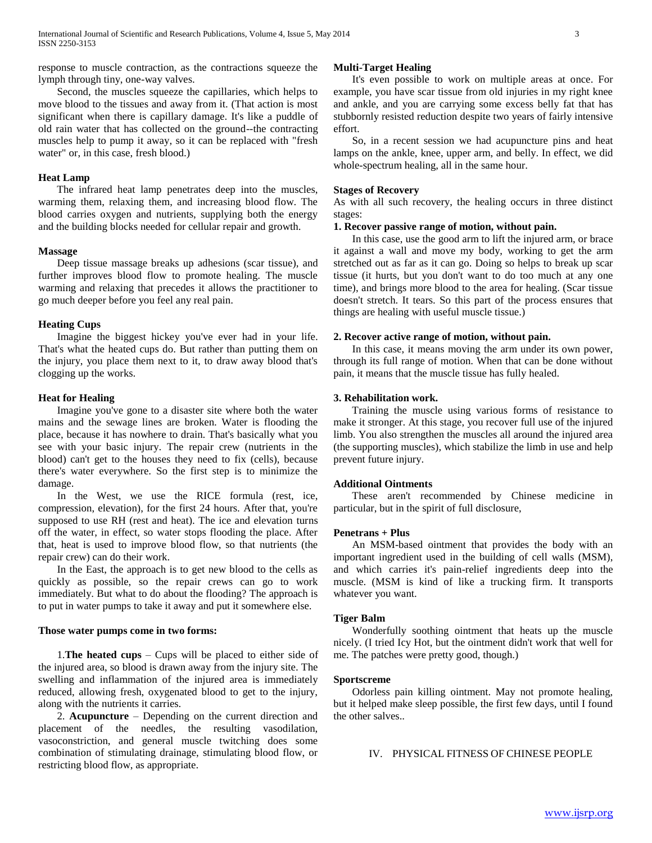response to muscle contraction, as the contractions squeeze the lymph through tiny, one-way valves.

 Second, the muscles squeeze the capillaries, which helps to move blood to the tissues and away from it. (That action is most significant when there is capillary damage. It's like a puddle of old rain water that has collected on the ground--the contracting muscles help to pump it away, so it can be replaced with "fresh water" or, in this case, fresh blood.)

#### **Heat Lamp**

 The infrared heat lamp penetrates deep into the muscles, warming them, relaxing them, and increasing blood flow. The blood carries oxygen and nutrients, supplying both the energy and the building blocks needed for cellular repair and growth.

#### **Massage**

 Deep tissue massage breaks up adhesions (scar tissue), and further improves blood flow to promote healing. The muscle warming and relaxing that precedes it allows the practitioner to go much deeper before you feel any real pain.

#### **Heating Cups**

 Imagine the biggest hickey you've ever had in your life. That's what the heated cups do. But rather than putting them on the injury, you place them next to it, to draw away blood that's clogging up the works.

## **Heat for Healing**

 Imagine you've gone to a disaster site where both the water mains and the sewage lines are broken. Water is flooding the place, because it has nowhere to drain. That's basically what you see with your basic injury. The repair crew (nutrients in the blood) can't get to the houses they need to fix (cells), because there's water everywhere. So the first step is to minimize the damage.

 In the West, we use the RICE formula (rest, ice, compression, elevation), for the first 24 hours. After that, you're supposed to use RH (rest and heat). The ice and elevation turns off the water, in effect, so water stops flooding the place. After that, heat is used to improve blood flow, so that nutrients (the repair crew) can do their work.

 In the East, the approach is to get new blood to the cells as quickly as possible, so the repair crews can go to work immediately. But what to do about the flooding? The approach is to put in water pumps to take it away and put it somewhere else.

#### **Those water pumps come in two forms:**

 1.**The heated cups** – Cups will be placed to either side of the injured area, so blood is drawn away from the injury site. The swelling and inflammation of the injured area is immediately reduced, allowing fresh, oxygenated blood to get to the injury, along with the nutrients it carries.

 2. **Acupuncture** – Depending on the current direction and placement of the needles, the resulting vasodilation, vasoconstriction, and general muscle twitching does some combination of stimulating drainage, stimulating blood flow, or restricting blood flow, as appropriate.

## **Multi-Target Healing**

 It's even possible to work on multiple areas at once. For example, you have scar tissue from old injuries in my right knee and ankle, and you are carrying some excess belly fat that has stubbornly resisted reduction despite two years of fairly intensive effort.

 So, in a recent session we had acupuncture pins and heat lamps on the ankle, knee, upper arm, and belly. In effect, we did whole-spectrum healing, all in the same hour.

#### **Stages of Recovery**

As with all such recovery, the healing occurs in three distinct stages:

#### **1. Recover passive range of motion, without pain.**

 In this case, use the good arm to lift the injured arm, or brace it against a wall and move my body, working to get the arm stretched out as far as it can go. Doing so helps to break up scar tissue (it hurts, but you don't want to do too much at any one time), and brings more blood to the area for healing. (Scar tissue doesn't stretch. It tears. So this part of the process ensures that things are healing with useful muscle tissue.)

#### **2. Recover active range of motion, without pain.**

 In this case, it means moving the arm under its own power, through its full range of motion. When that can be done without pain, it means that the muscle tissue has fully healed.

#### **3. Rehabilitation work.**

 Training the muscle using various forms of resistance to make it stronger. At this stage, you recover full use of the injured limb. You also strengthen the muscles all around the injured area (the supporting muscles), which stabilize the limb in use and help prevent future injury.

#### **Additional Ointments**

 These aren't recommended by Chinese medicine in particular, but in the spirit of full disclosure,

## **Penetrans + Plus**

 An MSM-based ointment that provides the body with an important ingredient used in the building of cell walls (MSM), and which carries it's pain-relief ingredients deep into the muscle. (MSM is kind of like a trucking firm. It transports whatever you want.

#### **Tiger Balm**

 Wonderfully soothing ointment that heats up the muscle nicely. (I tried Icy Hot, but the ointment didn't work that well for me. The patches were pretty good, though.)

#### **Sportscreme**

 Odorless pain killing ointment. May not promote healing, but it helped make sleep possible, the first few days, until I found the other salves..

IV. PHYSICAL FITNESS OF CHINESE PEOPLE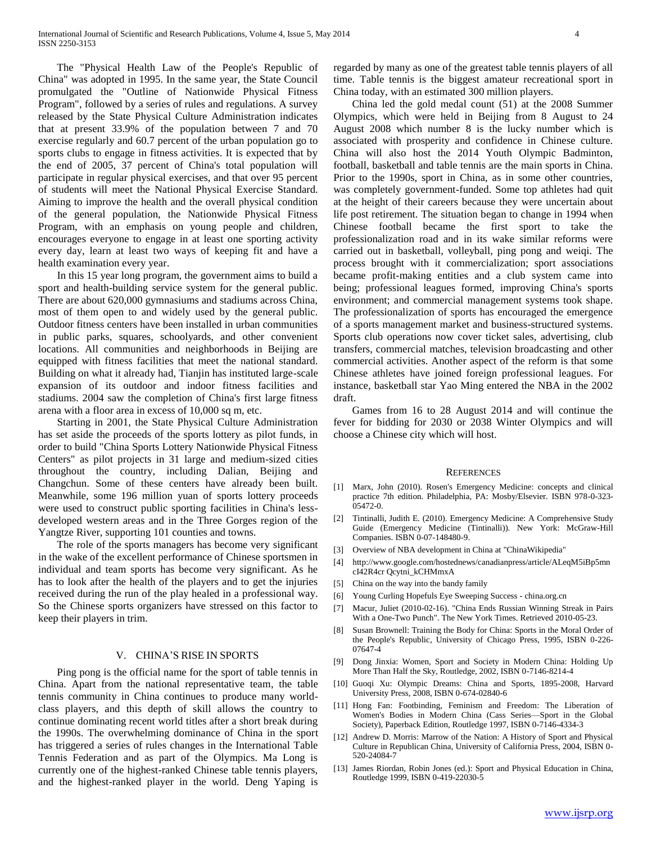The "Physical Health Law of the People's Republic of China" was adopted in 1995. In the same year, the State Council promulgated the "Outline of Nationwide Physical Fitness Program", followed by a series of rules and regulations. A survey released by the State Physical Culture Administration indicates that at present 33.9% of the population between 7 and 70 exercise regularly and 60.7 percent of the urban population go to sports clubs to engage in fitness activities. It is expected that by the end of 2005, 37 percent of China's total population will participate in regular physical exercises, and that over 95 percent of students will meet the National Physical Exercise Standard. Aiming to improve the health and the overall physical condition of the general population, the Nationwide Physical Fitness Program, with an emphasis on young people and children, encourages everyone to engage in at least one sporting activity every day, learn at least two ways of keeping fit and have a health examination every year.

 In this 15 year long program, the government aims to build a sport and health-building service system for the general public. There are about 620,000 gymnasiums and stadiums across China, most of them open to and widely used by the general public. Outdoor fitness centers have been installed in urban communities in public parks, squares, schoolyards, and other convenient locations. All communities and neighborhoods in Beijing are equipped with fitness facilities that meet the national standard. Building on what it already had, Tianjin has instituted large-scale expansion of its outdoor and indoor fitness facilities and stadiums. 2004 saw the completion of China's first large fitness arena with a floor area in excess of 10,000 sq m, etc.

 Starting in 2001, the State Physical Culture Administration has set aside the proceeds of the sports lottery as pilot funds, in order to build "China Sports Lottery Nationwide Physical Fitness Centers" as pilot projects in 31 large and medium-sized cities throughout the country, including Dalian, Beijing and Changchun. Some of these centers have already been built. Meanwhile, some 196 million yuan of sports lottery proceeds were used to construct public sporting facilities in China's lessdeveloped western areas and in the Three Gorges region of the Yangtze River, supporting 101 counties and towns.

 The role of the sports managers has become very significant in the wake of the excellent performance of Chinese sportsmen in individual and team sports has become very significant. As he has to look after the health of the players and to get the injuries received during the run of the play healed in a professional way. So the Chinese sports organizers have stressed on this factor to keep their players in trim.

## V. CHINA'S RISE IN SPORTS

 Ping pong is the official name for the sport of table tennis in China. Apart from the national representative team, the table tennis community in China continues to produce many worldclass players, and this depth of skill allows the country to continue dominating recent world titles after a short break during the 1990s. The overwhelming dominance of China in the sport has triggered a series of rules changes in the International Table Tennis Federation and as part of the Olympics. Ma Long is currently one of the highest-ranked Chinese table tennis players, and the highest-ranked player in the world. Deng Yaping is

regarded by many as one of the greatest table tennis players of all time. Table tennis is the biggest amateur recreational sport in China today, with an estimated 300 million players.

 China led the gold medal count (51) at the 2008 Summer Olympics, which were held in Beijing from 8 August to 24 August 2008 which number 8 is the lucky number which is associated with prosperity and confidence in Chinese culture. China will also host the 2014 Youth Olympic Badminton, football, basketball and table tennis are the main sports in China. Prior to the 1990s, sport in China, as in some other countries, was completely government-funded. Some top athletes had quit at the height of their careers because they were uncertain about life post retirement. The situation began to change in 1994 when Chinese football became the first sport to take the professionalization road and in its wake similar reforms were carried out in basketball, volleyball, ping pong and weiqi. The process brought with it commercialization; sport associations became profit-making entities and a club system came into being; professional leagues formed, improving China's sports environment; and commercial management systems took shape. The professionalization of sports has encouraged the emergence of a sports management market and business-structured systems. Sports club operations now cover ticket sales, advertising, club transfers, commercial matches, television broadcasting and other commercial activities. Another aspect of the reform is that some Chinese athletes have joined foreign professional leagues. For instance, basketball star Yao Ming entered the NBA in the 2002 draft.

 Games from 16 to 28 August 2014 and will continue the fever for bidding for 2030 or 2038 Winter Olympics and will choose a Chinese city which will host.

#### **REFERENCES**

- [1] Marx, John (2010). Rosen's Emergency Medicine: concepts and clinical practice 7th edition. Philadelphia, PA: Mosby/Elsevier. ISBN 978-0-323- 05472-0.
- [2] Tintinalli, Judith E. (2010). Emergency Medicine: A Comprehensive Study Guide (Emergency Medicine (Tintinalli)). New York: McGraw-Hill Companies. ISBN 0-07-148480-9.
- [3] Overview of NBA development in China at "ChinaWikipedia"
- [4] http://www.google.com/hostednews/canadianpress/article/ALeqM5iBp5mn cI42R4cr Qcytni\_kCHMmxA
- [5] China on the way into the bandy family
- [6] Young Curling Hopefuls Eye Sweeping Success china.org.cn
- [7] Macur, Juliet (2010-02-16). "China Ends Russian Winning Streak in Pairs With a One-Two Punch". The New York Times. Retrieved 2010-05-23.
- [8] Susan Brownell: Training the Body for China: Sports in the Moral Order of the People's Republic, University of Chicago Press, 1995, ISBN 0-226- 07647-4
- [9] Dong Jinxia: Women, Sport and Society in Modern China: Holding Up More Than Half the Sky, Routledge, 2002, ISBN 0-7146-8214-4
- [10] Guoqi Xu: Olympic Dreams: China and Sports, 1895-2008, Harvard University Press, 2008, ISBN 0-674-02840-6
- [11] Hong Fan: Footbinding, Feminism and Freedom: The Liberation of Women's Bodies in Modern China (Cass Series—Sport in the Global Society), Paperback Edition, Routledge 1997, ISBN 0-7146-4334-3
- [12] Andrew D. Morris: Marrow of the Nation: A History of Sport and Physical Culture in Republican China, University of California Press, 2004, ISBN 0- 520-24084-7
- [13] James Riordan, Robin Jones (ed.): Sport and Physical Education in China, Routledge 1999, ISBN 0-419-22030-5